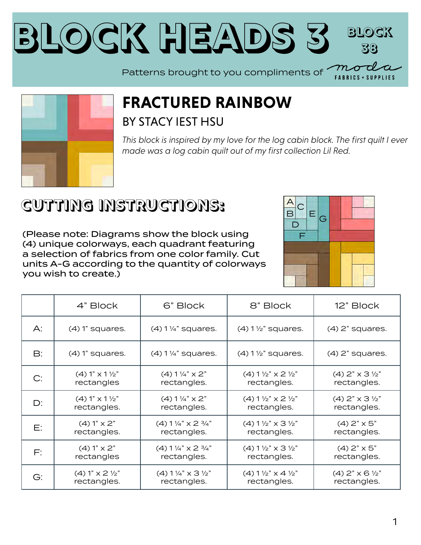



## **FRACTURED RAINBOW** BY STACY IEST HSU

*This block is inspired by my love for the log cabin block. The first quilt I ever made was a log cabin quilt out of my first collection Lil Red.*

## **CUTTING INSTRUCTIONS:**

(Please note: Diagrams show the block using (4) unique colorways, each quadrant featuring a selection of fabrics from one color family. Cut units A-G according to the quantity of colorways you wish to create.)



|               | 4" Block                      | 6" Block                                      | 8" Block                                       | 12" Block                           |
|---------------|-------------------------------|-----------------------------------------------|------------------------------------------------|-------------------------------------|
| A:            | $(4)$ 1" squares.             | $(4)$ 1 1/4" squares.                         | $(4)$ 1 $\frac{1}{2}$ " squares.               | $(4)$ 2" squares.                   |
| $\mathsf{B}:$ | $(4)$ 1" squares.             | $(4)$ 1 1/4" squares.                         | $(4)$ 1 $\frac{1}{2}$ " squares.               | $(4)$ 2" squares.                   |
| C:            | $(4) 1" x 1 \frac{1}{2"$      | $(4) 1\frac{1}{4}$ $\times$ 2"                | $(4)$ 1 $\frac{1}{2}$ " x 2 $\frac{1}{2}$ "    | $(4)$ 2" $\times$ 3 $\frac{1}{2}$ " |
|               | rectangles                    | rectangles.                                   | rectangles.                                    | rectangles.                         |
| $D$ :         | $(4) 1" x 1 \frac{1}{2"$      | $(4) 1\frac{1}{4}$ $\times$ 2"                | $(4)$ 1 $\frac{1}{2}$ " x 2 $\frac{1}{2}$ "    | $(4)$ 2" $\times$ 3 $\frac{1}{2}$ " |
|               | rectangles.                   | rectangles.                                   | rectangles.                                    | rectangles.                         |
| Е:            | $(4) 1" \times 2"$            | $(4) 1\frac{1}{4}$ x 2 $\frac{3}{4}$ "        | $(4) 1 \frac{1}{2} x$ $\times 3 \frac{1}{2} x$ | $(4)$ 2" $\times$ 5"                |
|               | rectangles.                   | rectangles.                                   | rectangles.                                    | rectangles.                         |
| F:            | $(4) 1" \times 2"$            | $(4) 1\frac{1}{4}$ x 2 $\frac{3}{4}$ "        | $(4) 1 \frac{1}{2} x$ $\times 3 \frac{1}{2} x$ | $(4)$ 2" $\times$ 5"                |
|               | rectangles                    | rectangles.                                   | rectangles.                                    | rectangles.                         |
| G:            | $(4) 1" \times 2 \frac{1}{2"$ | $(4) 1\frac{1}{4}$ $\times$ 3 $\frac{1}{2}$ " | $(4) 1 \frac{1}{2}$ $\times$ 4 $\frac{1}{2}$   | $(4)$ 2" $\times$ 6 $\frac{1}{2}$ " |
|               | rectangles.                   | rectangles.                                   | rectangles.                                    | rectangles.                         |